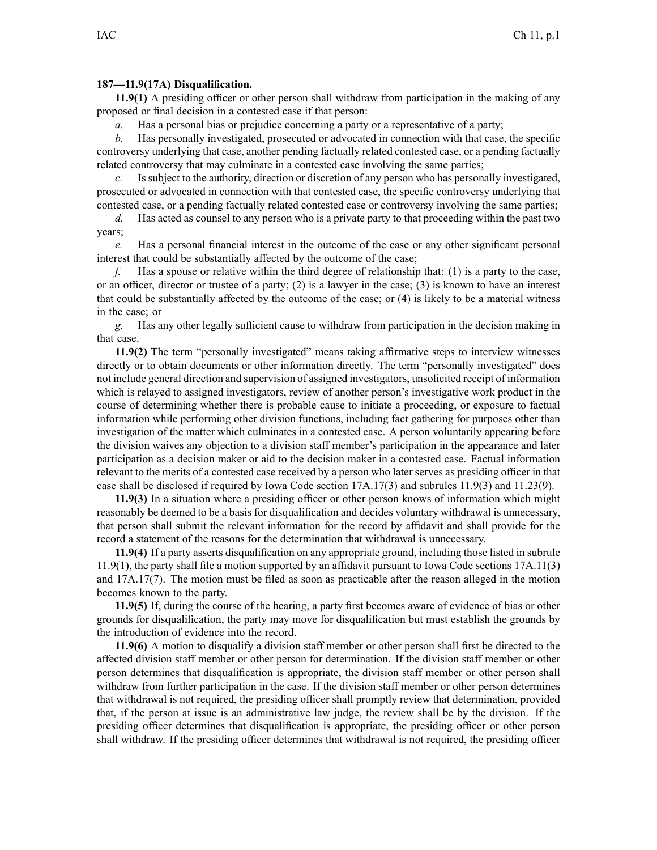## **187—11.9(17A) Disqualification.**

**11.9(1)** A presiding officer or other person shall withdraw from participation in the making of any proposed or final decision in <sup>a</sup> contested case if that person:

*a.* Has a personal bias or prejudice concerning a party or a representative of a party;

*b.* Has personally investigated, prosecuted or advocated in connection with that case, the specific controversy underlying that case, another pending factually related contested case, or <sup>a</sup> pending factually related controversy that may culminate in <sup>a</sup> contested case involving the same parties;

Is subject to the authority, direction or discretion of any person who has personally investigated, prosecuted or advocated in connection with that contested case, the specific controversy underlying that contested case, or <sup>a</sup> pending factually related contested case or controversy involving the same parties;

*d.* Has acted as counsel to any person who is <sup>a</sup> private party to that proceeding within the pas<sup>t</sup> two years;

*e.* Has <sup>a</sup> personal financial interest in the outcome of the case or any other significant personal interest that could be substantially affected by the outcome of the case;

*f.* Has <sup>a</sup> spouse or relative within the third degree of relationship that: (1) is <sup>a</sup> party to the case, or an officer, director or trustee of <sup>a</sup> party; (2) is <sup>a</sup> lawyer in the case; (3) is known to have an interest that could be substantially affected by the outcome of the case; or (4) is likely to be <sup>a</sup> material witness in the case; or

*g.* Has any other legally sufficient cause to withdraw from participation in the decision making in that case.

**11.9(2)** The term "personally investigated" means taking affirmative steps to interview witnesses directly or to obtain documents or other information directly. The term "personally investigated" does not include general direction and supervision of assigned investigators, unsolicited receipt of information which is relayed to assigned investigators, review of another person's investigative work product in the course of determining whether there is probable cause to initiate <sup>a</sup> proceeding, or exposure to factual information while performing other division functions, including fact gathering for purposes other than investigation of the matter which culminates in <sup>a</sup> contested case. A person voluntarily appearing before the division waives any objection to <sup>a</sup> division staff member's participation in the appearance and later participation as <sup>a</sup> decision maker or aid to the decision maker in <sup>a</sup> contested case. Factual information relevant to the merits of <sup>a</sup> contested case received by <sup>a</sup> person who later serves as presiding officer in that case shall be disclosed if required by Iowa Code section [17A.17\(3\)](https://www.legis.iowa.gov/docs/ico/section/2018/17A.17.pdf) and subrules [11.9\(3\)](https://www.legis.iowa.gov/docs/iac/rule/187.11.9.pdf) and [11.23\(9\)](https://www.legis.iowa.gov/docs/iac/rule/187.11.23.pdf).

**11.9(3)** In <sup>a</sup> situation where <sup>a</sup> presiding officer or other person knows of information which might reasonably be deemed to be <sup>a</sup> basis for disqualification and decides voluntary withdrawal is unnecessary, that person shall submit the relevant information for the record by affidavit and shall provide for the record <sup>a</sup> statement of the reasons for the determination that withdrawal is unnecessary.

**11.9(4)** If <sup>a</sup> party asserts disqualification on any appropriate ground, including those listed in [subrule](https://www.legis.iowa.gov/docs/iac/rule/187.11.9.pdf) [11.9\(1\)](https://www.legis.iowa.gov/docs/iac/rule/187.11.9.pdf), the party shall file <sup>a</sup> motion supported by an affidavit pursuan<sup>t</sup> to Iowa Code sections [17A.11\(3\)](https://www.legis.iowa.gov/docs/ico/section/2018/17A.11.pdf) and [17A.17\(7\)](https://www.legis.iowa.gov/docs/ico/section/2018/17A.17.pdf). The motion must be filed as soon as practicable after the reason alleged in the motion becomes known to the party.

**11.9(5)** If, during the course of the hearing, <sup>a</sup> party first becomes aware of evidence of bias or other grounds for disqualification, the party may move for disqualification but must establish the grounds by the introduction of evidence into the record.

**11.9(6)** A motion to disqualify <sup>a</sup> division staff member or other person shall first be directed to the affected division staff member or other person for determination. If the division staff member or other person determines that disqualification is appropriate, the division staff member or other person shall withdraw from further participation in the case. If the division staff member or other person determines that withdrawal is not required, the presiding officer shall promptly review that determination, provided that, if the person at issue is an administrative law judge, the review shall be by the division. If the presiding officer determines that disqualification is appropriate, the presiding officer or other person shall withdraw. If the presiding officer determines that withdrawal is not required, the presiding officer